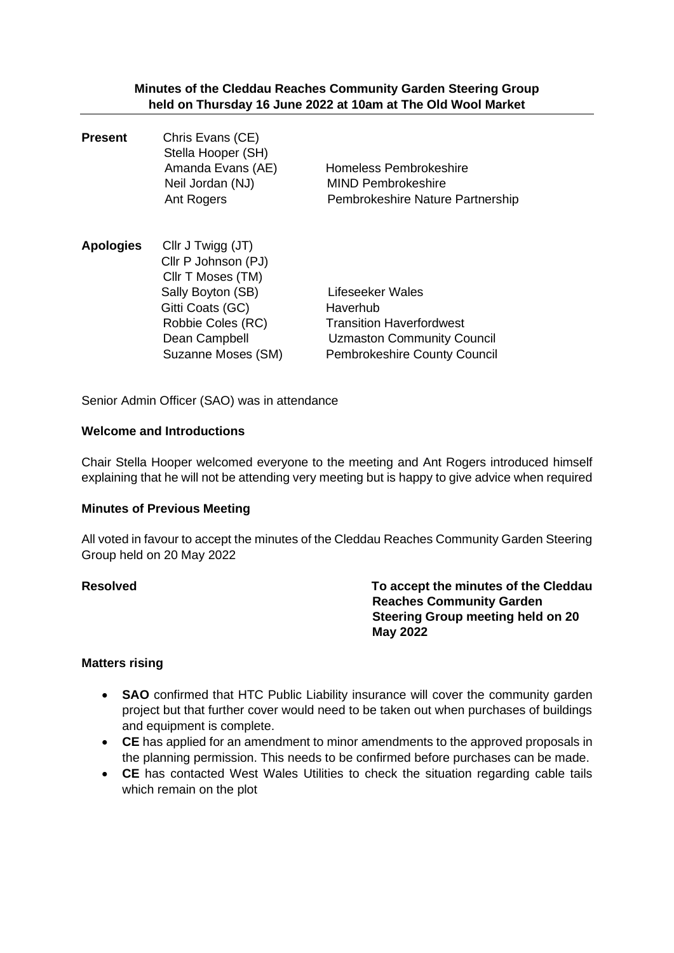**Minutes of the Cleddau Reaches Community Garden Steering Group held on Thursday 16 June 2022 at 10am at The Old Wool Market**

**Present** Chris Evans (CE) Stella Hooper (SH) Amanda Evans (AE) Homeless Pembrokeshire Neil Jordan (NJ) MIND Pembrokeshire Ant Rogers Pembrokeshire Nature Partnership **Apologies** Cllr J Twigg (JT) Cllr P Johnson (PJ) Cllr T Moses (TM) Sally Boyton (SB) Lifeseeker Wales Gitti Coats (GC) Haverhub Robbie Coles (RC) Transition Haverfordwest Dean Campbell Uzmaston Community Council Suzanne Moses (SM) Pembrokeshire County Council

Senior Admin Officer (SAO) was in attendance

#### **Welcome and Introductions**

Chair Stella Hooper welcomed everyone to the meeting and Ant Rogers introduced himself explaining that he will not be attending very meeting but is happy to give advice when required

#### **Minutes of Previous Meeting**

All voted in favour to accept the minutes of the Cleddau Reaches Community Garden Steering Group held on 20 May 2022

**Resolved To accept the minutes of the Cleddau Reaches Community Garden Steering Group meeting held on 20 May 2022**

#### **Matters rising**

- **SAO** confirmed that HTC Public Liability insurance will cover the community garden project but that further cover would need to be taken out when purchases of buildings and equipment is complete.
- **CE** has applied for an amendment to minor amendments to the approved proposals in the planning permission. This needs to be confirmed before purchases can be made.
- **CE** has contacted West Wales Utilities to check the situation regarding cable tails which remain on the plot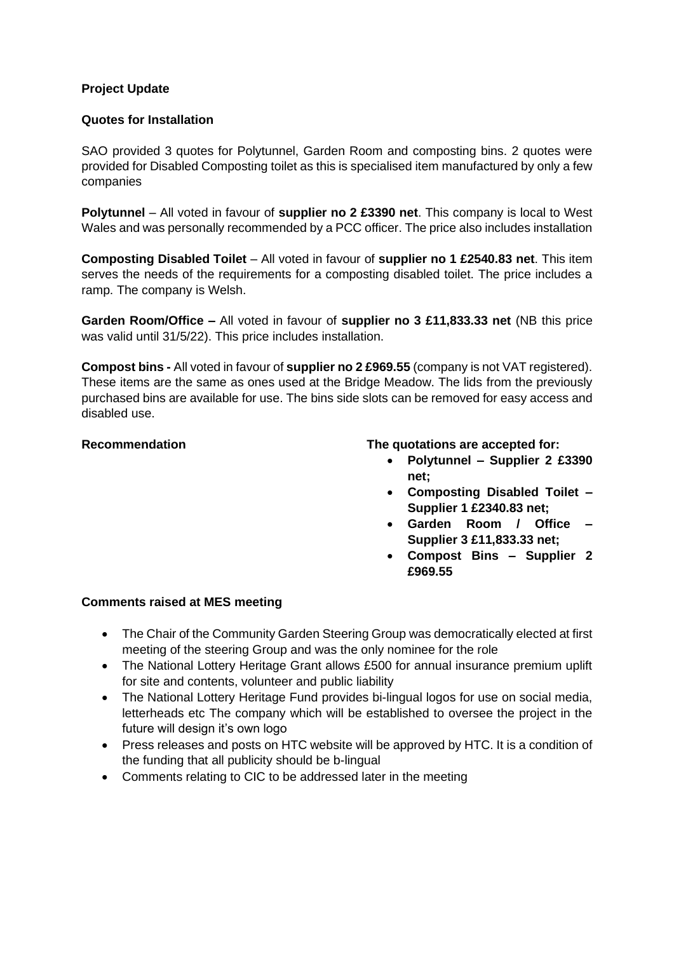## **Project Update**

## **Quotes for Installation**

SAO provided 3 quotes for Polytunnel, Garden Room and composting bins. 2 quotes were provided for Disabled Composting toilet as this is specialised item manufactured by only a few companies

**Polytunnel** – All voted in favour of **supplier no 2 £3390 net**. This company is local to West Wales and was personally recommended by a PCC officer. The price also includes installation

**Composting Disabled Toilet** – All voted in favour of **supplier no 1 £2540.83 net**. This item serves the needs of the requirements for a composting disabled toilet. The price includes a ramp. The company is Welsh.

**Garden Room/Office –** All voted in favour of **supplier no 3 £11,833.33 net** (NB this price was valid until 31/5/22). This price includes installation.

**Compost bins -** All voted in favour of **supplier no 2 £969.55** (company is not VAT registered). These items are the same as ones used at the Bridge Meadow. The lids from the previously purchased bins are available for use. The bins side slots can be removed for easy access and disabled use.

## **Recommendation The quotations are accepted for:**

- **Polytunnel – Supplier 2 £3390 net;**
- **Composting Disabled Toilet – Supplier 1 £2340.83 net;**
- **Garden Room / Office – Supplier 3 £11,833.33 net;**
- **Compost Bins – Supplier 2 £969.55**

## **Comments raised at MES meeting**

- The Chair of the Community Garden Steering Group was democratically elected at first meeting of the steering Group and was the only nominee for the role
- The National Lottery Heritage Grant allows £500 for annual insurance premium uplift for site and contents, volunteer and public liability
- The National Lottery Heritage Fund provides bi-lingual logos for use on social media, letterheads etc The company which will be established to oversee the project in the future will design it's own logo
- Press releases and posts on HTC website will be approved by HTC. It is a condition of the funding that all publicity should be b-lingual
- Comments relating to CIC to be addressed later in the meeting